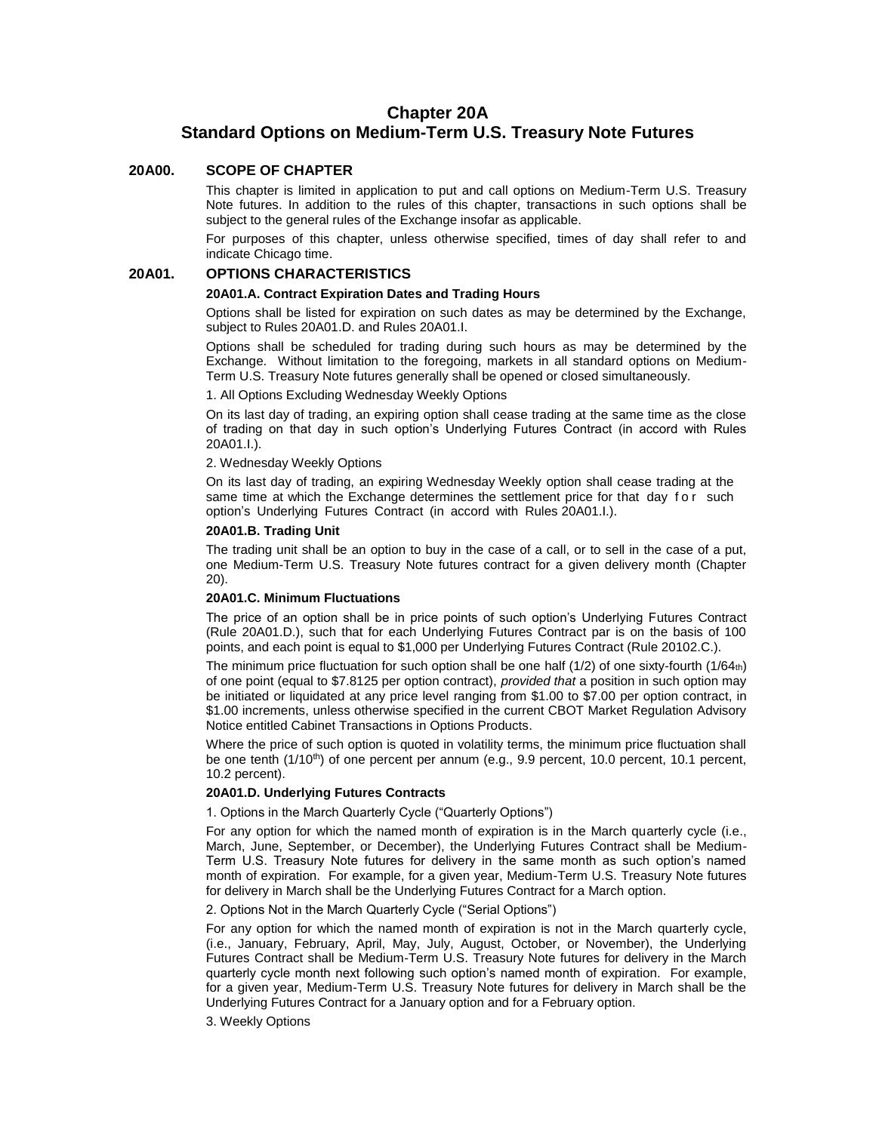# **Chapter 20A Standard Options on Medium-Term U.S. Treasury Note Futures**

### **20A00. SCOPE OF CHAPTER**

This chapter is limited in application to put and call options on Medium-Term U.S. Treasury Note futures. In addition to the rules of this chapter, transactions in such options shall be subject to the general rules of the Exchange insofar as applicable.

For purposes of this chapter, unless otherwise specified, times of day shall refer to and indicate Chicago time.

### **20A01. OPTIONS CHARACTERISTICS**

#### **20A01.A. Contract Expiration Dates and Trading Hours**

Options shall be listed for expiration on such dates as may be determined by the Exchange, subject to Rules 20A01.D. and Rules 20A01.I.

Options shall be scheduled for trading during such hours as may be determined by the Exchange. Without limitation to the foregoing, markets in all standard options on Medium-Term U.S. Treasury Note futures generally shall be opened or closed simultaneously.

1. All Options Excluding Wednesday Weekly Options

On its last day of trading, an expiring option shall cease trading at the same time as the close of trading on that day in such option's Underlying Futures Contract (in accord with Rules 20A01.I.).

#### 2. Wednesday Weekly Options

On its last day of trading, an expiring Wednesday Weekly option shall cease trading at the same time at which the Exchange determines the settlement price for that day for such option's Underlying Futures Contract (in accord with Rules 20A01.I.).

### **20A01.B. Trading Unit**

The trading unit shall be an option to buy in the case of a call, or to sell in the case of a put, one Medium-Term U.S. Treasury Note futures contract for a given delivery month (Chapter 20).

### **20A01.C. Minimum Fluctuations**

The price of an option shall be in price points of such option's Underlying Futures Contract (Rule 20A01.D.), such that for each Underlying Futures Contract par is on the basis of 100 points, and each point is equal to \$1,000 per Underlying Futures Contract (Rule 20102.C.).

The minimum price fluctuation for such option shall be one half  $(1/2)$  of one sixty-fourth  $(1/64<sub>th</sub>)$ of one point (equal to \$7.8125 per option contract), *provided that* a position in such option may be initiated or liquidated at any price level ranging from \$1.00 to \$7.00 per option contract, in \$1.00 increments, unless otherwise specified in the current CBOT Market Regulation Advisory Notice entitled Cabinet Transactions in Options Products.

Where the price of such option is quoted in volatility terms, the minimum price fluctuation shall be one tenth (1/10<sup>th</sup>) of one percent per annum (e.g., 9.9 percent, 10.0 percent, 10.1 percent, 10.2 percent).

### **20A01.D. Underlying Futures Contracts**

1. Options in the March Quarterly Cycle ("Quarterly Options")

For any option for which the named month of expiration is in the March quarterly cycle (i.e., March, June, September, or December), the Underlying Futures Contract shall be Medium-Term U.S. Treasury Note futures for delivery in the same month as such option's named month of expiration. For example, for a given year, Medium-Term U.S. Treasury Note futures for delivery in March shall be the Underlying Futures Contract for a March option.

2. Options Not in the March Quarterly Cycle ("Serial Options")

For any option for which the named month of expiration is not in the March quarterly cycle, (i.e., January, February, April, May, July, August, October, or November), the Underlying Futures Contract shall be Medium-Term U.S. Treasury Note futures for delivery in the March quarterly cycle month next following such option's named month of expiration. For example, for a given year, Medium-Term U.S. Treasury Note futures for delivery in March shall be the Underlying Futures Contract for a January option and for a February option.

3. Weekly Options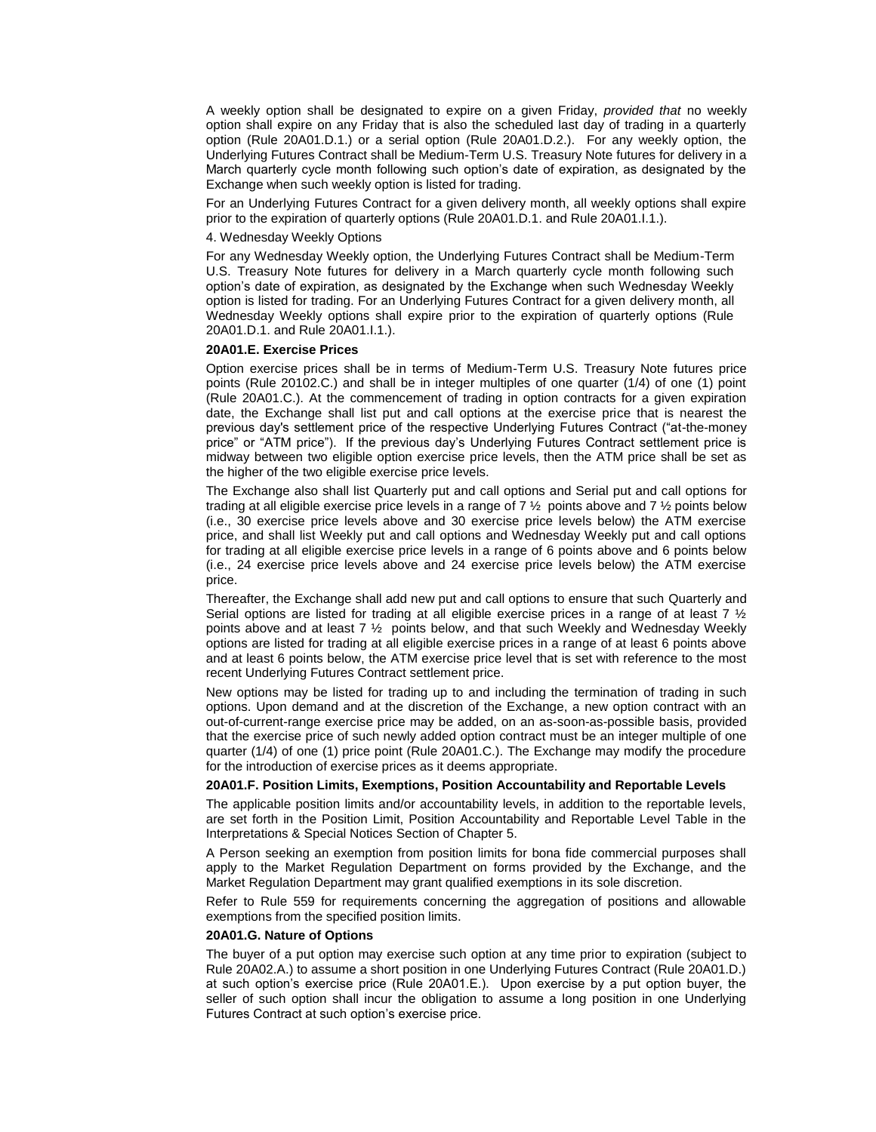A weekly option shall be designated to expire on a given Friday, *provided that* no weekly option shall expire on any Friday that is also the scheduled last day of trading in a quarterly option (Rule 20A01.D.1.) or a serial option (Rule 20A01.D.2.). For any weekly option, the Underlying Futures Contract shall be Medium-Term U.S. Treasury Note futures for delivery in a March quarterly cycle month following such option's date of expiration, as designated by the Exchange when such weekly option is listed for trading.

For an Underlying Futures Contract for a given delivery month, all weekly options shall expire prior to the expiration of quarterly options (Rule 20A01.D.1. and Rule 20A01.I.1.).

#### 4. Wednesday Weekly Options

For any Wednesday Weekly option, the Underlying Futures Contract shall be Medium-Term U.S. Treasury Note futures for delivery in a March quarterly cycle month following such option's date of expiration, as designated by the Exchange when such Wednesday Weekly option is listed for trading. For an Underlying Futures Contract for a given delivery month, all Wednesday Weekly options shall expire prior to the expiration of quarterly options (Rule 20A01.D.1. and Rule 20A01.I.1.).

#### **20A01.E. Exercise Prices**

Option exercise prices shall be in terms of Medium-Term U.S. Treasury Note futures price points (Rule 20102.C.) and shall be in integer multiples of one quarter (1/4) of one (1) point (Rule 20A01.C.). At the commencement of trading in option contracts for a given expiration date, the Exchange shall list put and call options at the exercise price that is nearest the previous day's settlement price of the respective Underlying Futures Contract ("at-the-money price" or "ATM price"). If the previous day's Underlying Futures Contract settlement price is midway between two eligible option exercise price levels, then the ATM price shall be set as the higher of the two eligible exercise price levels.

The Exchange also shall list Quarterly put and call options and Serial put and call options for trading at all eligible exercise price levels in a range of 7  $\frac{1}{2}$  points above and 7  $\frac{1}{2}$  points below (i.e., 30 exercise price levels above and 30 exercise price levels below) the ATM exercise price, and shall list Weekly put and call options and Wednesday Weekly put and call options for trading at all eligible exercise price levels in a range of 6 points above and 6 points below (i.e., 24 exercise price levels above and 24 exercise price levels below) the ATM exercise price.

Thereafter, the Exchange shall add new put and call options to ensure that such Quarterly and Serial options are listed for trading at all eligible exercise prices in a range of at least 7  $\frac{1}{2}$ points above and at least 7 ½ points below, and that such Weekly and Wednesday Weekly options are listed for trading at all eligible exercise prices in a range of at least 6 points above and at least 6 points below, the ATM exercise price level that is set with reference to the most recent Underlying Futures Contract settlement price.

New options may be listed for trading up to and including the termination of trading in such options. Upon demand and at the discretion of the Exchange, a new option contract with an out-of-current-range exercise price may be added, on an as-soon-as-possible basis, provided that the exercise price of such newly added option contract must be an integer multiple of one quarter (1/4) of one (1) price point (Rule 20A01.C.). The Exchange may modify the procedure for the introduction of exercise prices as it deems appropriate.

### **20A01.F. Position Limits, Exemptions, Position Accountability and Reportable Levels**

The applicable position limits and/or accountability levels, in addition to the reportable levels, are set forth in the Position Limit, Position Accountability and Reportable Level Table in the Interpretations & Special Notices Section of Chapter 5.

A Person seeking an exemption from position limits for bona fide commercial purposes shall apply to the Market Regulation Department on forms provided by the Exchange, and the Market Regulation Department may grant qualified exemptions in its sole discretion.

Refer to Rule 559 for requirements concerning the aggregation of positions and allowable exemptions from the specified position limits.

#### **20A01.G. Nature of Options**

The buyer of a put option may exercise such option at any time prior to expiration (subject to Rule 20A02.A.) to assume a short position in one Underlying Futures Contract (Rule 20A01.D.) at such option's exercise price (Rule 20A01.E.). Upon exercise by a put option buyer, the seller of such option shall incur the obligation to assume a long position in one Underlying Futures Contract at such option's exercise price.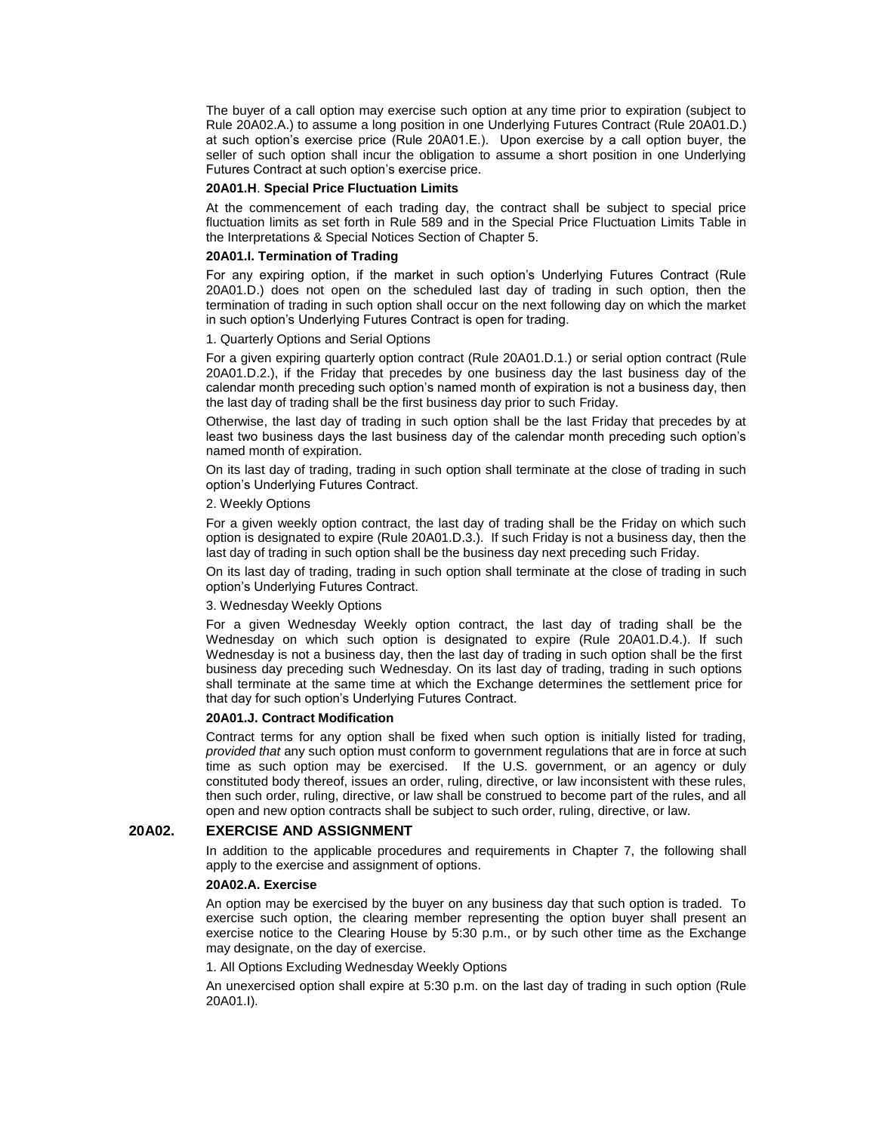The buyer of a call option may exercise such option at any time prior to expiration (subject to Rule 20A02.A.) to assume a long position in one Underlying Futures Contract (Rule 20A01.D.) at such option's exercise price (Rule 20A01.E.). Upon exercise by a call option buyer, the seller of such option shall incur the obligation to assume a short position in one Underlying Futures Contract at such option's exercise price.

#### **20A01.H**. **Special Price Fluctuation Limits**

At the commencement of each trading day, the contract shall be subject to special price fluctuation limits as set forth in Rule 589 and in the Special Price Fluctuation Limits Table in the Interpretations & Special Notices Section of Chapter 5.

### **20A01.I. Termination of Trading**

For any expiring option, if the market in such option's Underlying Futures Contract (Rule 20A01.D.) does not open on the scheduled last day of trading in such option, then the termination of trading in such option shall occur on the next following day on which the market in such option's Underlying Futures Contract is open for trading.

1. Quarterly Options and Serial Options

For a given expiring quarterly option contract (Rule 20A01.D.1.) or serial option contract (Rule 20A01.D.2.), if the Friday that precedes by one business day the last business day of the calendar month preceding such option's named month of expiration is not a business day, then the last day of trading shall be the first business day prior to such Friday.

Otherwise, the last day of trading in such option shall be the last Friday that precedes by at least two business days the last business day of the calendar month preceding such option's named month of expiration.

On its last day of trading, trading in such option shall terminate at the close of trading in such option's Underlying Futures Contract.

### 2. Weekly Options

For a given weekly option contract, the last day of trading shall be the Friday on which such option is designated to expire (Rule 20A01.D.3.). If such Friday is not a business day, then the last day of trading in such option shall be the business day next preceding such Friday.

On its last day of trading, trading in such option shall terminate at the close of trading in such option's Underlying Futures Contract.

### 3. Wednesday Weekly Options

For a given Wednesday Weekly option contract, the last day of trading shall be the Wednesday on which such option is designated to expire (Rule 20A01.D.4.). If such Wednesday is not a business day, then the last day of trading in such option shall be the first business day preceding such Wednesday. On its last day of trading, trading in such options shall terminate at the same time at which the Exchange determines the settlement price for that day for such option's Underlying Futures Contract.

#### **20A01.J. Contract Modification**

Contract terms for any option shall be fixed when such option is initially listed for trading, *provided that* any such option must conform to government regulations that are in force at such time as such option may be exercised. If the U.S. government, or an agency or duly constituted body thereof, issues an order, ruling, directive, or law inconsistent with these rules, then such order, ruling, directive, or law shall be construed to become part of the rules, and all open and new option contracts shall be subject to such order, ruling, directive, or law.

### **20A02. EXERCISE AND ASSIGNMENT**

In addition to the applicable procedures and requirements in Chapter 7, the following shall apply to the exercise and assignment of options.

#### **20A02.A. Exercise**

An option may be exercised by the buyer on any business day that such option is traded. To exercise such option, the clearing member representing the option buyer shall present an exercise notice to the Clearing House by 5:30 p.m., or by such other time as the Exchange may designate, on the day of exercise.

1. All Options Excluding Wednesday Weekly Options

An unexercised option shall expire at 5:30 p.m. on the last day of trading in such option (Rule 20A01.I).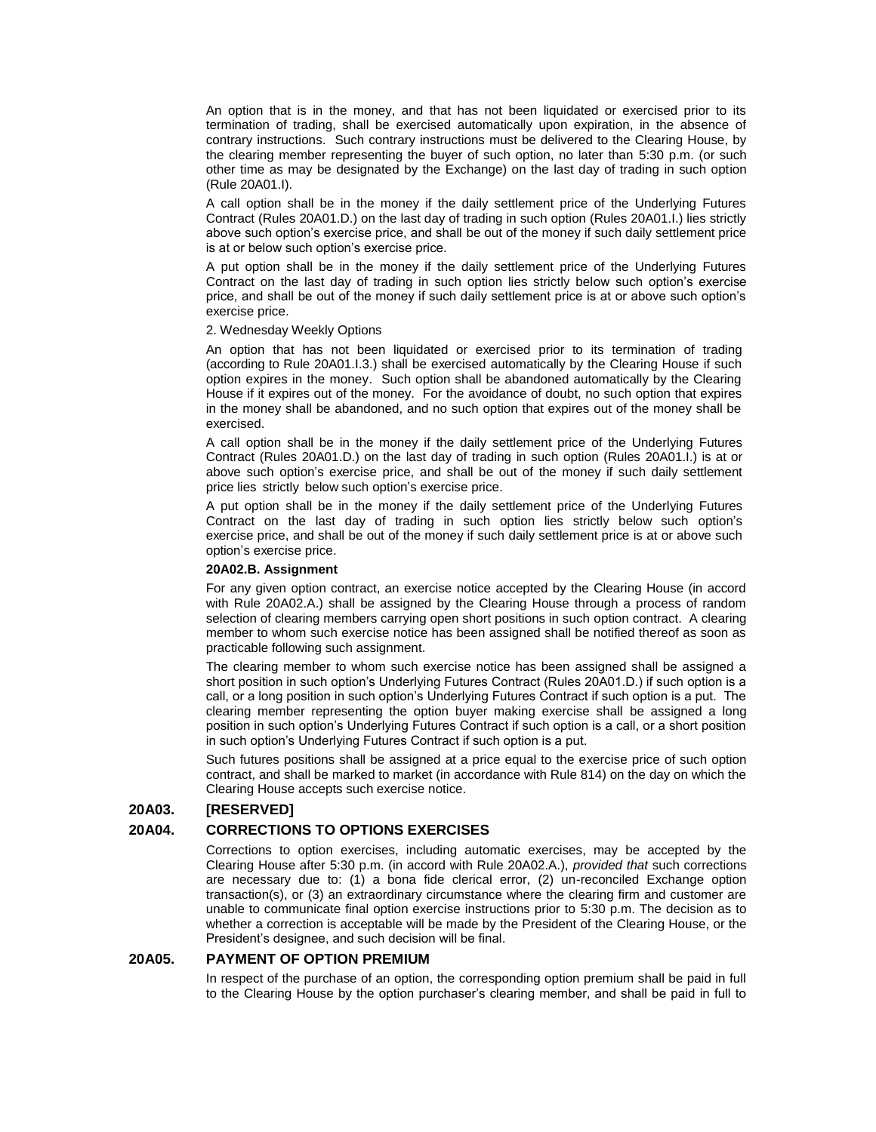An option that is in the money, and that has not been liquidated or exercised prior to its termination of trading, shall be exercised automatically upon expiration, in the absence of contrary instructions. Such contrary instructions must be delivered to the Clearing House, by the clearing member representing the buyer of such option, no later than 5:30 p.m. (or such other time as may be designated by the Exchange) on the last day of trading in such option (Rule 20A01.I).

A call option shall be in the money if the daily settlement price of the Underlying Futures Contract (Rules 20A01.D.) on the last day of trading in such option (Rules 20A01.I.) lies strictly above such option's exercise price, and shall be out of the money if such daily settlement price is at or below such option's exercise price.

A put option shall be in the money if the daily settlement price of the Underlying Futures Contract on the last day of trading in such option lies strictly below such option's exercise price, and shall be out of the money if such daily settlement price is at or above such option's exercise price.

#### 2. Wednesday Weekly Options

An option that has not been liquidated or exercised prior to its termination of trading (according to Rule 20A01.I.3.) shall be exercised automatically by the Clearing House if such option expires in the money. Such option shall be abandoned automatically by the Clearing House if it expires out of the money. For the avoidance of doubt, no such option that expires in the money shall be abandoned, and no such option that expires out of the money shall be exercised.

A call option shall be in the money if the daily settlement price of the Underlying Futures Contract (Rules 20A01.D.) on the last day of trading in such option (Rules 20A01.I.) is at or above such option's exercise price, and shall be out of the money if such daily settlement price lies strictly below such option's exercise price.

A put option shall be in the money if the daily settlement price of the Underlying Futures Contract on the last day of trading in such option lies strictly below such option's exercise price, and shall be out of the money if such daily settlement price is at or above such option's exercise price.

#### **20A02.B. Assignment**

For any given option contract, an exercise notice accepted by the Clearing House (in accord with Rule 20A02.A.) shall be assigned by the Clearing House through a process of random selection of clearing members carrying open short positions in such option contract. A clearing member to whom such exercise notice has been assigned shall be notified thereof as soon as practicable following such assignment.

The clearing member to whom such exercise notice has been assigned shall be assigned a short position in such option's Underlying Futures Contract (Rules 20A01.D.) if such option is a call, or a long position in such option's Underlying Futures Contract if such option is a put. The clearing member representing the option buyer making exercise shall be assigned a long position in such option's Underlying Futures Contract if such option is a call, or a short position in such option's Underlying Futures Contract if such option is a put.

Such futures positions shall be assigned at a price equal to the exercise price of such option contract, and shall be marked to market (in accordance with Rule 814) on the day on which the Clearing House accepts such exercise notice.

## **20A03. [RESERVED]**

### **20A04. CORRECTIONS TO OPTIONS EXERCISES**

Corrections to option exercises, including automatic exercises, may be accepted by the Clearing House after 5:30 p.m. (in accord with Rule 20A02.A.), *provided that* such corrections are necessary due to: (1) a bona fide clerical error, (2) un-reconciled Exchange option transaction(s), or (3) an extraordinary circumstance where the clearing firm and customer are unable to communicate final option exercise instructions prior to 5:30 p.m. The decision as to whether a correction is acceptable will be made by the President of the Clearing House, or the President's designee, and such decision will be final.

### **20A05. PAYMENT OF OPTION PREMIUM**

In respect of the purchase of an option, the corresponding option premium shall be paid in full to the Clearing House by the option purchaser's clearing member, and shall be paid in full to